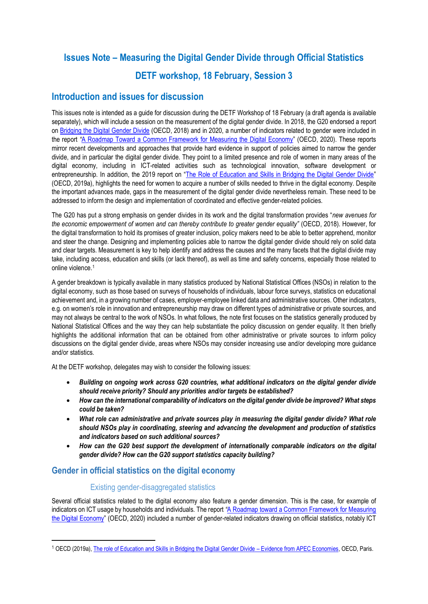# **Issues Note – Measuring the Digital Gender Divide through Official Statistics DETF workshop, 18 February, Session 3**

# **Introduction and issues for discussion**

This issues note is intended as a guide for discussion during the DETF Workshop of 18 February (a draft agenda is available separately), which will include a session on the measurement of the digital gender divide. In 2018, the G20 endorsed a report o[n Bridging the Digital Gender Divide](http://www.oecd.org/digital/bridging-the-digital-gender-divide.pdf) (OECD, 2018) and in 2020, a number of indicators related to gender were included in the report *"*[A Roadmap Toward a Common Framework for Measuring the Digital Economy](http://www.oecd.org/sti/roadmap-toward-a-common-framework-for-measuring-the-digital-economy.pdf)" (OECD, 2020). These reports mirror recent developments and approaches that provide hard evidence in support of policies aimed to narrow the gender divide, and in particular the digital gender divide. They point to a limited presence and role of women in many areas of the digital economy, including in ICT-related activities such as technological innovation, software development or entrepreneurship. In addition, the 2019 report on "[The Role of Education and Skills in Bridging the Digital Gender Divide](https://www.oecd.org/sti/education-and-skills-in-bridging-the-digital-gender-divide-evidence-from-apec.pdf)" (OECD, 2019a), highlights the need for women to acquire a number of skills needed to thrive in the digital economy. Despite the important advances made, gaps in the measurement of the digital gender divide nevertheless remain. These need to be addressed to inform the design and implementation of coordinated and effective gender-related policies.

The G20 has put a strong emphasis on gender divides in its work and the digital transformation provides "*new avenues for the economic empowerment of women and can thereby contribute to greater gender equality"* (OECD, 2018). However, for the digital transformation to hold its promises of greater inclusion, policy makers need to be able to better apprehend, monitor and steer the change. Designing and implementing policies able to narrow the digital gender divide should rely on solid data and clear targets. Measurement is key to help identify and address the causes and the many facets that the digital divide may take, including access, education and skills (or lack thereof), as well as time and safety concerns, especially those related to online violence. 1

A gender breakdown is typically available in many statistics produced by National Statistical Offices (NSOs) in relation to the digital economy, such as those based on surveys of households of individuals, labour force surveys, statistics on educational achievement and, in a growing number of cases, employer-employee linked data and administrative sources. Other indicators, e.g. on women's role in innovation and entrepreneurship may draw on different types of administrative or private sources, and may not always be central to the work of NSOs. In what follows, the note first focuses on the statistics generally produced by National Statistical Offices and the way they can help substantiate the policy discussion on gender equality. It then briefly highlights the additional information that can be obtained from other administrative or private sources to inform policy discussions on the digital gender divide, areas where NSOs may consider increasing use and/or developing more guidance and/or statistics.

At the DETF workshop, delegates may wish to consider the following issues:

- *Building on ongoing work across G20 countries, what additional indicators on the digital gender divide should receive priority? Should any priorities and/or targets be established?*
- *How can the international comparability of indicators on the digital gender divide be improved? What steps could be taken?*
- *What role can administrative and private sources play in measuring the digital gender divide? What role should NSOs play in coordinating, steering and advancing the development and production of statistics and indicators based on such additional sources?*
- *How can the G20 best support the development of internationally comparable indicators on the digital gender divide? How can the G20 support statistics capacity building?*

# **Gender in official statistics on the digital economy**

### Existing gender-disaggregated statistics

Several official statistics related to the digital economy also feature a gender dimension. This is the case, for example of indicators on ICT usage by households and individuals. The report *"*A Roadmap toward [a Common Framework for Measuring](http://www.oecd.org/sti/roadmap-toward-a-common-framework-for-measuring-the-digital-economy.pdf)  [the Digital Economy](http://www.oecd.org/sti/roadmap-toward-a-common-framework-for-measuring-the-digital-economy.pdf)" (OECD, 2020) included a number of gender-related indicators drawing on official statistics, notably ICT

<sup>1</sup> OECD (2019a)[, The role of Education and Skills in Bridging the Digital Gender Divide](https://www.oecd.org/sti/education-and-skills-in-bridging-the-digital-gender-divide-evidence-from-apec.pdf) – Evidence from APEC Economies, OECD, Paris.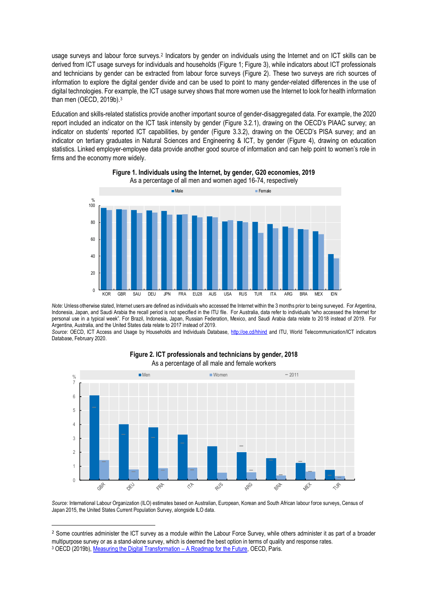usage surveys and labour force surveys.<sup>2</sup> Indicators by gender on individuals using the Internet and on ICT skills can be derived from ICT usage surveys for individuals and households (Figure 1; Figure 3), while indicators about ICT professionals and technicians by gender can be extracted from labour force surveys (Figure 2). These two surveys are rich sources of information to explore the digital gender divide and can be used to point to many gender-related differences in the use of digital technologies. For example, the ICT usage survey shows that more women use the Internet to look for health information than men (OECD, 2019b).<sup>3</sup>

Education and skills-related statistics provide another important source of gender-disaggregated data. For example, the 2020 report included an indicator on the ICT task intensity by gender (Figure 3.2.1), drawing on the OECD's PIAAC survey; an indicator on students' reported ICT capabilities, by gender (Figure 3.3.2), drawing on the OECD's PISA survey; and an indicator on tertiary graduates in Natural Sciences and Engineering & ICT, by gender (Figure 4), drawing on education statistics. Linked employer-employee data provide another good source of information and can help point to women's role in firms and the economy more widely.



**Figure 1. Individuals using the Internet, by gender, G20 economies, 2019** As a percentage of all men and women aged 16-74, respectively

*Note:* Unless otherwise stated, Internet users are defined as individuals who accessed the Internet within the 3 months prior to being surveyed. For Argentina, Indonesia, Japan, and Saudi Arabia the recall period is not specified in the ITU file. For Australia, data refer to individuals "who accessed the Internet for personal use in a typical week". For Brazil, Indonesia, Japan, Russian Federation, Mexico, and Saudi Arabia data relate to 2018 instead of 2019. For Argentina, Australia, and the United States data relate to 2017 instead of 2019.

*Source*: OECD, ICT Access and Usage by Households and Individuals Database,<http://oe.cd/hhind> and ITU, World Telecommunication/ICT indicators Database, February 2020.



#### **Figure 2. ICT professionals and technicians by gender, 2018** As a percentage of all male and female workers

*Source:* International Labour Organization (ILO) estimates based on Australian, European, Korean and South African labour force surveys, Census of Japan 2015, the United States Current Population Survey, alongside ILO data.

<sup>2</sup> Some countries administer the ICT survey as a module *within* the Labour Force Survey, while others administer it as part of a broader multipurpose survey or as a stand-alone survey, which is deemed the best option in terms of quality and response rates. <sup>3</sup> OECD (2019b)[, Measuring the Digital Transformation](https://www.oecd.org/publications/measuring-the-digital-transformation-9789264311992-en.htm) – A Roadmap for the Future, OECD, Paris.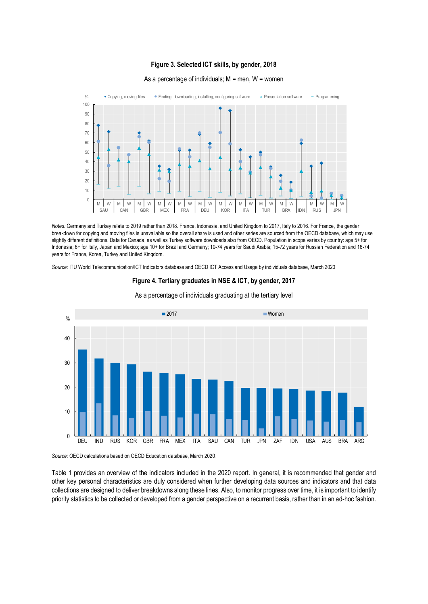#### **Figure 3. Selected ICT skills, by gender, 2018**



#### As a percentage of individuals;  $M =$  men,  $W =$  women

*Notes:* Germany and Turkey relate to 2019 rather than 2018. France, Indonesia, and United Kingdom to 2017, Italy to 2016. For France, the gender breakdown for copying and moving files is unavailable so the overall share is used and other series are sourced from the OECD database, which may use slightly different definitions. Data for Canada, as well as Turkey software downloads also from OECD. Population in scope varies by country: age 5+ for Indonesia; 6+ for Italy, Japan and Mexico; age 10+ for Brazil and Germany; 10-74 years for Saudi Arabia; 15-72 years for Russian Federation and 16-74 years for France, Korea, Turkey and United Kingdom.

*Source:* ITU World Telecommunication/ICT Indicators database and OECD ICT Access and Usage by individuals database, March 2020

#### **Figure 4. Tertiary graduates in NSE & ICT, by gender, 2017**



As a percentage of individuals graduating at the tertiary level

*Source:* OECD calculations based on OECD Education database, March 2020.

Table 1 provides an overview of the indicators included in the 2020 report. In general, it is recommended that gender and other key personal characteristics are duly considered when further developing data sources and indicators and that data collections are designed to deliver breakdowns along these lines. Also, to monitor progress over time, it is important to identify priority statistics to be collected or developed from a gender perspective on a recurrent basis, rather than in an ad-hoc fashion.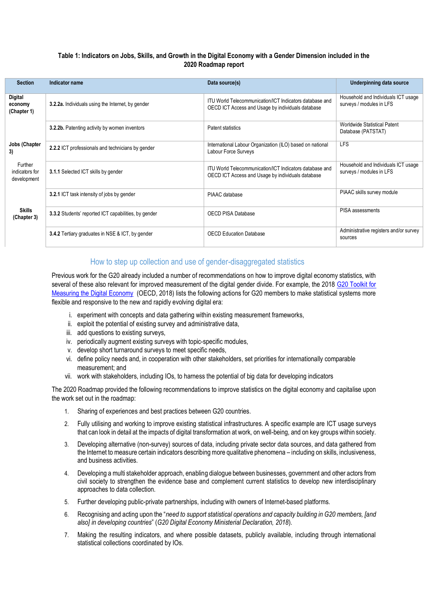#### **Table 1: Indicators on Jobs, Skills, and Growth in the Digital Economy with a Gender Dimension included in the 2020 Roadmap report**

| <b>Section</b>                           | Indicator name                                       | Data source(s)                                                                                               | <b>Underpinning data source</b>                                 |
|------------------------------------------|------------------------------------------------------|--------------------------------------------------------------------------------------------------------------|-----------------------------------------------------------------|
| Digital<br>economy<br>(Chapter 1)        | 3.2.2a. Individuals using the Internet, by gender    | ITU World Telecommunication/ICT Indicators database and<br>OECD ICT Access and Usage by individuals database | Household and Individuals ICT usage<br>surveys / modules in LFS |
|                                          | 3.2.2b. Patenting activity by women inventors        | Patent statistics                                                                                            | Worldwide Statistical Patent<br>Database (PATSTAT)              |
| Jobs (Chapter<br>3)                      | 2.2.2 ICT professionals and technicians by gender    | International Labour Organization (ILO) based on national<br>Labour Force Surveys                            | <b>LFS</b>                                                      |
| Further<br>indicators for<br>development | 3.1.1 Selected ICT skills by gender                  | ITU World Telecommunication/ICT Indicators database and<br>OECD ICT Access and Usage by individuals database | Household and Individuals ICT usage<br>surveys / modules in LFS |
|                                          | 3.2.1 ICT task intensity of jobs by gender           | PIAAC database                                                                                               | PIAAC skills survey module                                      |
| <b>Skills</b><br>(Chapter 3)             | 3.3.2 Students' reported ICT capabilities, by gender | <b>OECD PISA Database</b>                                                                                    | PISA assessments                                                |
|                                          | 3.4.2 Tertiary graduates in NSE & ICT, by gender     | <b>OECD Education Database</b>                                                                               | Administrative registers and/or survey<br>sources               |

### How to step up collection and use of gender-disaggregated statistics

Previous work for the G20 already included a number of recommendations on how to improve digital economy statistics, with several of these also relevant for improved measurement of the digital gender divide. For example, the 2018 G20 Toolkit for [Measuring the Digital Economy](https://www.oecd.org/g20/summits/buenos-aires/G20-Toolkit-for-measuring-digital-economy.pdf) (OECD, 2018) lists the following actions for G20 members to make statistical systems more flexible and responsive to the new and rapidly evolving digital era:

- i. experiment with concepts and data gathering within existing measurement frameworks,
- ii. exploit the potential of existing survey and administrative data,
- iii. add questions to existing surveys,
- iv. periodically augment existing surveys with topic-specific modules,
- v. develop short turnaround surveys to meet specific needs,
- vi. define policy needs and, in cooperation with other stakeholders, set priorities for internationally comparable measurement; and
- vii. work with stakeholders, including IOs, to harness the potential of big data for developing indicators

The 2020 Roadmap provided the following recommendations to improve statistics on the digital economy and capitalise upon the work set out in the roadmap:

- 1. Sharing of experiences and best practices between G20 countries.
- 2. Fully utilising and working to improve existing statistical infrastructures. A specific example are ICT usage surveys that can look in detail at the impacts of digital transformation at work, on well-being, and on key groups within society.
- 3. Developing alternative (non-survey) sources of data, including private sector data sources, and data gathered from the Internet to measure certain indicators describing more qualitative phenomena – including on skills, inclusiveness, and business activities.
- 4. Developing a multi stakeholder approach, enabling dialogue between businesses, government and other actors from civil society to strengthen the evidence base and complement current statistics to develop new interdisciplinary approaches to data collection.
- 5. Further developing public-private partnerships, including with owners of Internet-based platforms.
- 6. Recognising and acting upon the "*need to support statistical operations and capacity building in G20 members, [and also] in developing countries*" (*G20 Digital Economy Ministerial Declaration, 2018*).
- 7. Making the resulting indicators, and where possible datasets, publicly available, including through international statistical collections coordinated by IOs.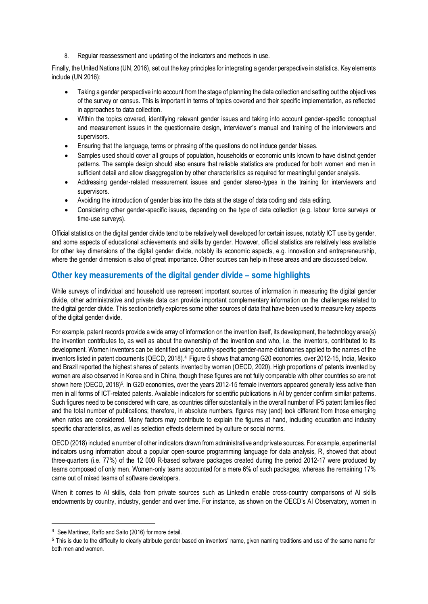8. Regular reassessment and updating of the indicators and methods in use.

Finally, the United Nations (UN, 2016), set out the key principles for integrating a gender perspective in statistics. Key elements include (UN 2016):

- Taking a gender perspective into account from the stage of planning the data collection and setting out the objectives of the survey or census. This is important in terms of topics covered and their specific implementation, as reflected in approaches to data collection.
- Within the topics covered, identifying relevant gender issues and taking into account gender‐specific conceptual and measurement issues in the questionnaire design, interviewer's manual and training of the interviewers and supervisors.
- Ensuring that the language, terms or phrasing of the questions do not induce gender biases.
- Samples used should cover all groups of population, households or economic units known to have distinct gender patterns. The sample design should also ensure that reliable statistics are produced for both women and men in sufficient detail and allow disaggregation by other characteristics as required for meaningful gender analysis.
- Addressing gender-related measurement issues and gender stereo-types in the training for interviewers and supervisors.
- Avoiding the introduction of gender bias into the data at the stage of data coding and data editing.
- Considering other gender-specific issues, depending on the type of data collection (e.g. labour force surveys or time-use surveys).

Official statistics on the digital gender divide tend to be relatively well developed for certain issues, notably ICT use by gender, and some aspects of educational achievements and skills by gender. However, official statistics are relatively less available for other key dimensions of the digital gender divide, notably its economic aspects, e.g. innovation and entrepreneurship, where the gender dimension is also of great importance. Other sources can help in these areas and are discussed below.

## **Other key measurements of the digital gender divide – some highlights**

While surveys of individual and household use represent important sources of information in measuring the digital gender divide, other administrative and private data can provide important complementary information on the challenges related to the digital gender divide. This section briefly explores some other sources of data that have been used to measure key aspects of the digital gender divide.

For example, patent records provide a wide array of information on the invention itself, its development, the technology area(s) the invention contributes to, as well as about the ownership of the invention and who, i.e. the inventors, contributed to its development. Women inventors can be identified using country-specific gender-name dictionaries applied to the names of the inventors listed in patent documents (OECD, 2018).<sup>4</sup> Figure 5 shows that among G20 economies, over 2012-15, India, Mexico and Brazil reported the highest shares of patents invented by women (OECD, 2020). High proportions of patents invented by women are also observed in Korea and in China, though these figures are not fully comparable with other countries so are not shown here (OECD, 2018)<sup>5</sup>. In G20 economies, over the years 2012-15 female inventors appeared generally less active than men in all forms of ICT-related patents. Available indicators for scientific publications in AI by gender confirm similar patterns. Such figures need to be considered with care, as countries differ substantially in the overall number of IP5 patent families filed and the total number of publications; therefore, in absolute numbers, figures may (and) look different from those emerging when ratios are considered. Many factors may contribute to explain the figures at hand, including education and industry specific characteristics, as well as selection effects determined by culture or social norms.

OECD (2018) included a number of other indicators drawn from administrative and private sources. For example, experimental indicators using information about a popular open-source programming language for data analysis, R, showed that about three-quarters (i.e. 77%) of the 12 000 R-based software packages created during the period 2012-17 were produced by teams composed of only men. Women-only teams accounted for a mere 6% of such packages, whereas the remaining 17% came out of mixed teams of software developers.

When it comes to AI skills, data from private sources such as LinkedIn enable cross-country comparisons of AI skills endowments by country, industry, gender and over time. For instance, as shown on the OECD's AI Observatory, women in

<sup>4</sup> See Martínez, Raffo and Saito (2016) for more detail.

<sup>&</sup>lt;sup>5</sup> This is due to the difficulty to clearly attribute gender based on inventors' name, given naming traditions and use of the same name for both men and women.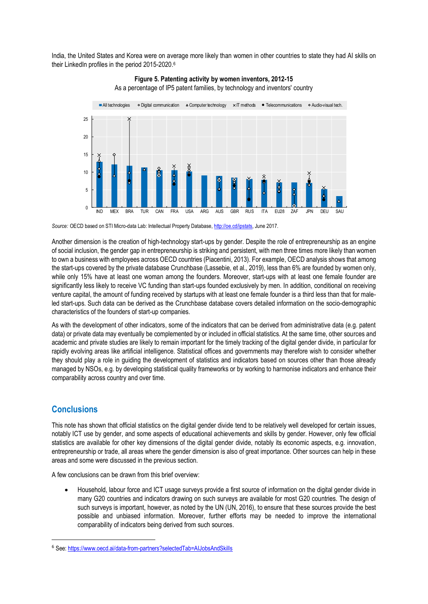India, the United States and Korea were on average more likely than women in other countries to state they had AI skills on their LinkedIn profiles in the period 2015-2020. 6





*Source:* OECD based on STI Micro-data Lab: Intellectual Property Database[, http://oe.cd/ipstats,](http://oe.cd/ipstats) June 2017.

Another dimension is the creation of high-technology start-ups by gender. Despite the role of entrepreneurship as an engine of social inclusion, the gender gap in entrepreneurship is striking and persistent, with men three times more likely than women to own a business with employees across OECD countries (Piacentini, 2013). For example, OECD analysis shows that among the start-ups covered by the private database Crunchbase (Lassebie, et al., 2019), less than 6% are founded by women only, while only 15% have at least one woman among the founders. Moreover, start-ups with at least one female founder are significantly less likely to receive VC funding than start-ups founded exclusively by men. In addition, conditional on receiving venture capital, the amount of funding received by startups with at least one female founder is a third less than that for maleled start-ups. Such data can be derived as the Crunchbase database covers detailed information on the socio-demographic characteristics of the founders of start-up companies.

As with the development of other indicators, some of the indicators that can be derived from administrative data (e.g. patent data) or private data may eventually be complemented by or included in official statistics. At the same time, other sources and academic and private studies are likely to remain important for the timely tracking of the digital gender divide, in particular for rapidly evolving areas like artificial intelligence. Statistical offices and governments may therefore wish to consider whether they should play a role in guiding the development of statistics and indicators based on sources other than those already managed by NSOs, e.g. by developing statistical quality frameworks or by working to harmonise indicators and enhance their comparability across country and over time.

### **Conclusions**

This note has shown that official statistics on the digital gender divide tend to be relatively well developed for certain issues, notably ICT use by gender, and some aspects of educational achievements and skills by gender. However, only few official statistics are available for other key dimensions of the digital gender divide, notably its economic aspects, e.g. innovation, entrepreneurship or trade, all areas where the gender dimension is also of great importance. Other sources can help in these areas and some were discussed in the previous section.

A few conclusions can be drawn from this brief overview:

• Household, labour force and ICT usage surveys provide a first source of information on the digital gender divide in many G20 countries and indicators drawing on such surveys are available for most G20 countries. The design of such surveys is important, however, as noted by the UN (UN, 2016), to ensure that these sources provide the best possible and unbiased information. Moreover, further efforts may be needed to improve the international comparability of indicators being derived from such sources.

<sup>6</sup> See:<https://www.oecd.ai/data-from-partners?selectedTab=AIJobsAndSkills>